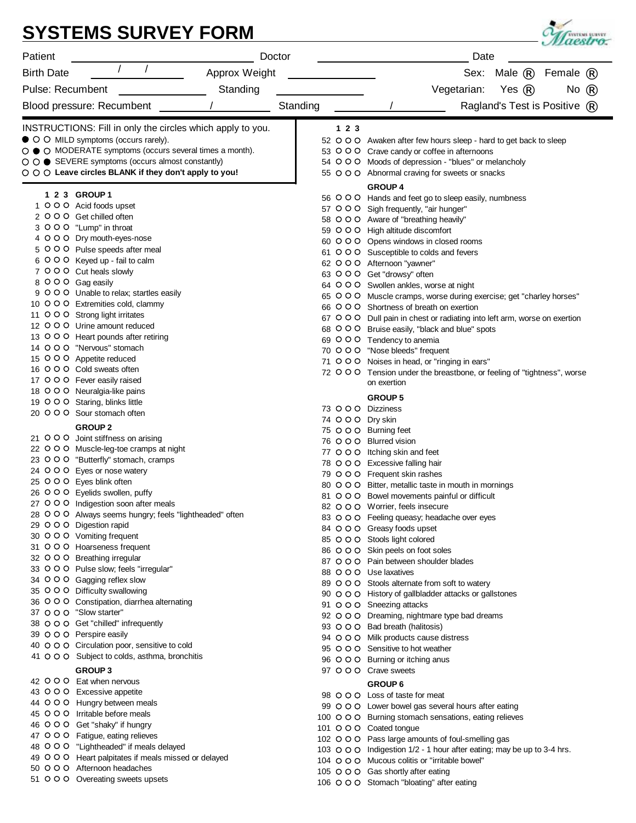|                                                                                               | <b>SYSTEMS SURVEY FORM</b>                                                                                                  |          |      | <b>SYSTEMS SURVEY</b><br>estro.                                                                                             |  |
|-----------------------------------------------------------------------------------------------|-----------------------------------------------------------------------------------------------------------------------------|----------|------|-----------------------------------------------------------------------------------------------------------------------------|--|
| Patient                                                                                       | Doctor                                                                                                                      |          | Date |                                                                                                                             |  |
| <b>Birth Date</b>                                                                             | Approx Weight                                                                                                               |          |      | Sex:<br>Male<br>Female                                                                                                      |  |
| <b>Pulse: Recumbent</b>                                                                       | Standing                                                                                                                    |          |      | Yes <sup>.</sup><br>Vegetarian:<br>No.                                                                                      |  |
| Blood pressure: Recumbent                                                                     |                                                                                                                             | Standing |      | Ragland's Test is Positive *                                                                                                |  |
|                                                                                               | INSTRUCTIONS: Fill in only the circles which apply to you.                                                                  |          | 123  |                                                                                                                             |  |
| ● ○ ○ MILD symptoms (occurs rarely).                                                          |                                                                                                                             |          |      | 52 O O O Awaken after few hours sleep - hard to get back to sleep                                                           |  |
|                                                                                               | ○ ● ○ MODERATE symptoms (occurs several times a month).                                                                     |          |      | 53 O O O Crave candy or coffee in afternoons                                                                                |  |
|                                                                                               | ○ ○ ● SEVERE symptoms (occurs almost constantly)<br>$\circ$ $\circ$ $\circ$ Leave circles BLANK if they don't apply to you! |          |      | 54 O O O Moods of depression - "blues" or melancholy<br>55 O O O Abnormal craving for sweets or snacks                      |  |
|                                                                                               |                                                                                                                             |          |      | <b>GROUP 4</b>                                                                                                              |  |
| 1 2 3 GROUP 1                                                                                 |                                                                                                                             |          |      | 56 O O O Hands and feet go to sleep easily, numbness                                                                        |  |
| 1 0 0 0 Acid foods upset<br>2 O O O Get chilled often                                         |                                                                                                                             |          |      | 57 O O O Sigh frequently, "air hunger"                                                                                      |  |
| 3 O O O "Lump" in throat                                                                      |                                                                                                                             |          |      | 58 O O O Aware of "breathing heavily"                                                                                       |  |
| 4 O O O Dry mouth-eyes-nose                                                                   |                                                                                                                             |          |      | 59 O O O High altitude discomfort<br>60 O O O Opens windows in closed rooms                                                 |  |
| 5 O O O Pulse speeds after meal                                                               |                                                                                                                             |          |      | 61 O O O Susceptible to colds and fevers                                                                                    |  |
| 6 O O O Keyed up - fail to calm                                                               |                                                                                                                             |          |      | 62 O O O Afternoon "yawner"                                                                                                 |  |
| 7 O O O Cut heals slowly                                                                      |                                                                                                                             |          |      | 63 OOO Get "drowsy" often                                                                                                   |  |
| 8 O O O Gag easily                                                                            |                                                                                                                             |          |      | 64 O O O Swollen ankles, worse at night                                                                                     |  |
| 9 O O O Unable to relax; startles easily<br>10 O O O Extremities cold, clammy                 |                                                                                                                             |          |      | 65 O O O Muscle cramps, worse during exercise; get "charley horses"                                                         |  |
| 11 O O O Strong light irritates                                                               |                                                                                                                             |          |      | 66 O O O Shortness of breath on exertion                                                                                    |  |
| 12 O O O Urine amount reduced                                                                 |                                                                                                                             |          |      | 67 O O O Dull pain in chest or radiating into left arm, worse on exertion<br>68 O O O Bruise easily, "black and blue" spots |  |
| 13 O O O Heart pounds after retiring                                                          |                                                                                                                             |          |      | 69 O O O Tendency to anemia                                                                                                 |  |
| 14 O O O "Nervous" stomach                                                                    |                                                                                                                             |          |      | 70 O O O "Nose bleeds" frequent                                                                                             |  |
| 15 O O O Appetite reduced                                                                     |                                                                                                                             |          |      | 71 O O O Noises in head, or "ringing in ears"                                                                               |  |
| 16 O O O Cold sweats often                                                                    |                                                                                                                             |          |      | 72 O O O Tension under the breastbone, or feeling of "tightness", worse                                                     |  |
| 17 O O O Fever easily raised<br>18 O O O Neuralgia-like pains                                 |                                                                                                                             |          |      | on exertion                                                                                                                 |  |
| 19 O O O Staring, blinks little                                                               |                                                                                                                             |          |      | <b>GROUP 5</b>                                                                                                              |  |
| 20 O O O Sour stomach often                                                                   |                                                                                                                             |          |      | 73 O O O Dizziness                                                                                                          |  |
| <b>GROUP 2</b>                                                                                |                                                                                                                             |          |      | 74 OOO Dry skin                                                                                                             |  |
| 21 O O O Joint stiffness on arising                                                           |                                                                                                                             |          |      | 75 O O O Burning feet<br>76 O O O Blurred vision                                                                            |  |
| 22 O O O Muscle-leg-toe cramps at night                                                       |                                                                                                                             |          |      | 77 O O O Itching skin and feet                                                                                              |  |
| 23 O O O "Butterfly" stomach, cramps                                                          |                                                                                                                             |          |      | 78 O O O Excessive falling hair                                                                                             |  |
| 24 O O O Eyes or nose watery                                                                  |                                                                                                                             |          |      | 79 O O O Frequent skin rashes                                                                                               |  |
| 25 O O O Eyes blink often                                                                     |                                                                                                                             |          |      | 80 O O O Bitter, metallic taste in mouth in mornings                                                                        |  |
| 26 O O C Eyelids swollen, puffy<br>27 O O O Indigestion soon after meals                      |                                                                                                                             |          |      | 81 O O O Bowel movements painful or difficult                                                                               |  |
|                                                                                               | 28 O O O Always seems hungry; feels "lightheaded" often                                                                     |          |      | 82 O O O Worrier, feels insecure                                                                                            |  |
| 29 O O O Digestion rapid                                                                      |                                                                                                                             |          |      | 83 O O O Feeling queasy; headache over eyes<br>84 O O O Greasy foods upset                                                  |  |
| 30 O O O Vomiting frequent                                                                    |                                                                                                                             |          |      | 85 O O O Stools light colored                                                                                               |  |
| 31 O O O Hoarseness frequent                                                                  |                                                                                                                             |          |      | 86 O O O Skin peels on foot soles                                                                                           |  |
| 32 O O O Breathing irregular                                                                  |                                                                                                                             |          |      | 87 O O O Pain between shoulder blades                                                                                       |  |
| 33 O O O Pulse slow; feels "irregular"<br>34 O O O Gagging reflex slow                        |                                                                                                                             |          |      | 88 O O O Use laxatives                                                                                                      |  |
| 35 O O O Difficulty swallowing                                                                |                                                                                                                             |          |      | 89 O O O Stools alternate from soft to watery<br>90 O O O History of gallbladder attacks or gallstones                      |  |
| 36 O O O Constipation, diarrhea alternating                                                   |                                                                                                                             |          |      | 91 O O O Sneezing attacks                                                                                                   |  |
| 37 O O O "Slow starter"                                                                       |                                                                                                                             |          |      | 92 O O O Dreaming, nightmare type bad dreams                                                                                |  |
| 38 O O O Get "chilled" infrequently                                                           |                                                                                                                             |          |      | 93 O O O Bad breath (halitosis)                                                                                             |  |
| 39 O O O Perspire easily                                                                      |                                                                                                                             |          |      | 94 O O O Milk products cause distress                                                                                       |  |
| 40 O O O Circulation poor, sensitive to cold<br>41 O O O Subject to colds, asthma, bronchitis |                                                                                                                             |          |      | 95 O O O Sensitive to hot weather                                                                                           |  |
|                                                                                               |                                                                                                                             |          |      | 96 O O O Burning or itching anus                                                                                            |  |
| <b>GROUP3</b>                                                                                 |                                                                                                                             |          |      | 97 O O O Crave sweets                                                                                                       |  |
| 42 O O C Eat when nervous<br>43 O O O Excessive appetite                                      |                                                                                                                             |          |      | <b>GROUP6</b>                                                                                                               |  |
| 44 O O O Hungry between meals                                                                 |                                                                                                                             |          |      | 98 O O O Loss of taste for meat                                                                                             |  |
| 45 O O O Irritable before meals                                                               |                                                                                                                             |          |      | 99 O O O Lower bowel gas several hours after eating<br>100 O O O Burning stomach sensations, eating relieves                |  |
| 46 OOO Get "shaky" if hungry                                                                  |                                                                                                                             |          |      | 101 O O O Coated tongue                                                                                                     |  |
| 47 O O O Fatigue, eating relieves                                                             |                                                                                                                             |          |      | 102 O O O Pass large amounts of foul-smelling gas                                                                           |  |
| 48 O O O "Lightheaded" if meals delayed                                                       |                                                                                                                             |          |      | 103 O O O Indigestion 1/2 - 1 hour after eating; may be up to 3-4 hrs.                                                      |  |
| 50 O O O Afternoon headaches                                                                  | 49 O O O Heart palpitates if meals missed or delayed                                                                        |          |      | 104 O O O Mucous colitis or "irritable bowel"                                                                               |  |
| 51 O O O Overeating sweets upsets                                                             |                                                                                                                             |          |      | 105 O O O Gas shortly after eating                                                                                          |  |
|                                                                                               |                                                                                                                             |          |      | 106 O O O Stomach "bloating" after eating                                                                                   |  |

## **SYSTEMS SURVEY FORM**